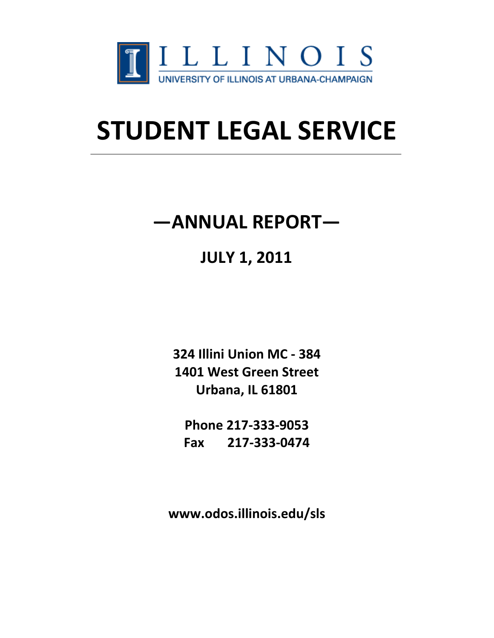

# **STUDENT LEGAL SERVICE**

# **—ANNUAL REPORT—**

# **JULY 1, 2011**

**324 Illini Union MC - 384 1401 West Green Street Urbana, IL 61801** 

**Phone 217-333-9053 Fax 217-333-0474** 

**www.odos.illinois.edu/sls**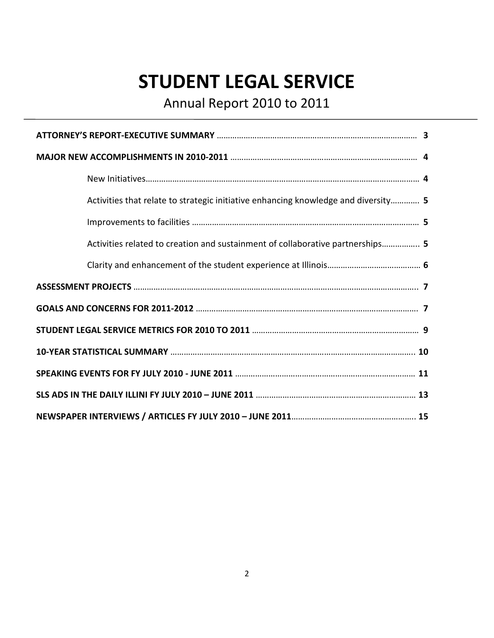# **STUDENT LEGAL SERVICE**

Annual Report 2010 to 2011

| Activities that relate to strategic initiative enhancing knowledge and diversity 5 |  |
|------------------------------------------------------------------------------------|--|
|                                                                                    |  |
| Activities related to creation and sustainment of collaborative partnerships 5     |  |
|                                                                                    |  |
|                                                                                    |  |
|                                                                                    |  |
|                                                                                    |  |
|                                                                                    |  |
|                                                                                    |  |
|                                                                                    |  |
|                                                                                    |  |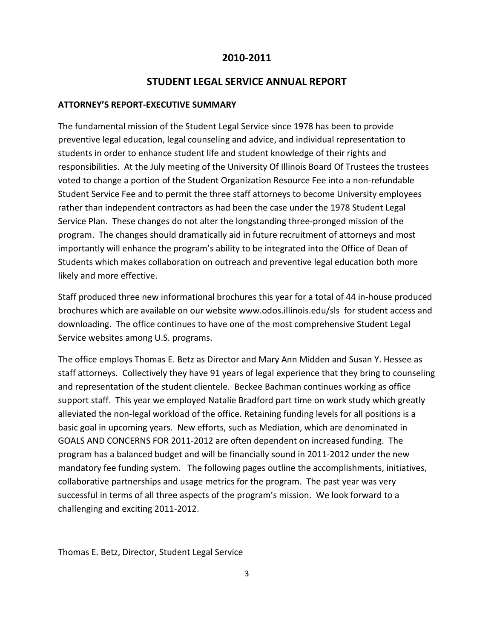#### **2010-2011**

#### **STUDENT LEGAL SERVICE ANNUAL REPORT**

#### **ATTORNEY'S REPORT-EXECUTIVE SUMMARY**

The fundamental mission of the Student Legal Service since 1978 has been to provide preventive legal education, legal counseling and advice, and individual representation to students in order to enhance student life and student knowledge of their rights and responsibilities. At the July meeting of the University Of Illinois Board Of Trustees the trustees voted to change a portion of the Student Organization Resource Fee into a non-refundable Student Service Fee and to permit the three staff attorneys to become University employees rather than independent contractors as had been the case under the 1978 Student Legal Service Plan. These changes do not alter the longstanding three-pronged mission of the program. The changes should dramatically aid in future recruitment of attorneys and most importantly will enhance the program's ability to be integrated into the Office of Dean of Students which makes collaboration on outreach and preventive legal education both more likely and more effective.

Staff produced three new informational brochures this year for a total of 44 in-house produced brochures which are available on our website www.odos.illinois.edu/sls for student access and downloading. The office continues to have one of the most comprehensive Student Legal Service websites among U.S. programs.

The office employs Thomas E. Betz as Director and Mary Ann Midden and Susan Y. Hessee as staff attorneys. Collectively they have 91 years of legal experience that they bring to counseling and representation of the student clientele. Beckee Bachman continues working as office support staff. This year we employed Natalie Bradford part time on work study which greatly alleviated the non-legal workload of the office. Retaining funding levels for all positions is a basic goal in upcoming years. New efforts, such as Mediation, which are denominated in GOALS AND CONCERNS FOR 2011-2012 are often dependent on increased funding. The program has a balanced budget and will be financially sound in 2011-2012 under the new mandatory fee funding system. The following pages outline the accomplishments, initiatives, collaborative partnerships and usage metrics for the program. The past year was very successful in terms of all three aspects of the program's mission. We look forward to a challenging and exciting 2011-2012.

Thomas E. Betz, Director, Student Legal Service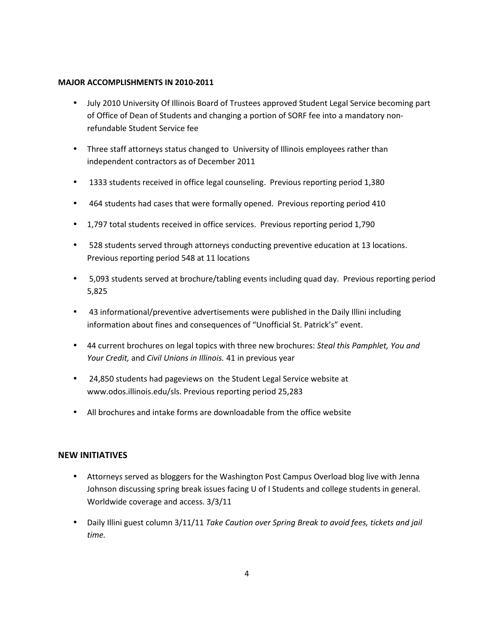#### **MAJOR ACCOMPLISHMENTS IN 2010-2011**

- July 2010 University Of Illinois Board of Trustees approved Student Legal Service becoming part of Office of Dean of Students and changing a portion of SORF fee into a mandatory nonrefundable Student Service fee
- Three staff attorneys status changed to University of Illinois employees rather than independent contractors as of December 2011
- 1333 students received in office legal counseling. Previous reporting period 1,380
- 464 students had cases that were formally opened. Previous reporting period 410
- 1,797 total students received in office services. Previous reporting period 1,790
- 528 students served through attorneys conducting preventive education at 13 locations. Previous reporting period 548 at 11 locations
- 5,093 students served at brochure/tabling events including quad day. Previous reporting period 5,825
- 43 informational/preventive advertisements were published in the Daily Illini including information about fines and consequences of "Unofficial St. Patrick's" event.
- 44 current brochures on legal topics with three new brochures: *Steal this Pamphlet, You and Your Credit,* and *Civil Unions in Illinois.* 41 in previous year
- 24,850 students had pageviews on the Student Legal Service website at www.odos.illinois.edu/sls. Previous reporting period 25,283
- All brochures and intake forms are downloadable from the office website

#### **NEW INITIATIVES**

- Attorneys served as bloggers for the Washington Post Campus Overload blog live with Jenna Johnson discussing spring break issues facing U of I Students and college students in general. Worldwide coverage and access. 3/3/11
- Daily Illini guest column 3/11/11 *Take Caution over Spring Break to avoid fees, tickets and jail time.*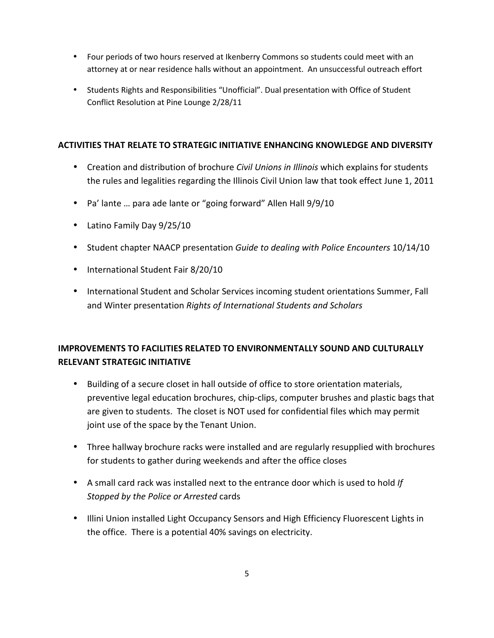- Four periods of two hours reserved at Ikenberry Commons so students could meet with an attorney at or near residence halls without an appointment. An unsuccessful outreach effort
- Students Rights and Responsibilities "Unofficial". Dual presentation with Office of Student Conflict Resolution at Pine Lounge 2/28/11

#### **ACTIVITIES THAT RELATE TO STRATEGIC INITIATIVE ENHANCING KNOWLEDGE AND DIVERSITY**

- Creation and distribution of brochure *Civil Unions in Illinois* which explains for students the rules and legalities regarding the Illinois Civil Union law that took effect June 1, 2011
- Pa' lante … para ade lante or "going forward" Allen Hall 9/9/10
- Latino Family Day 9/25/10
- Student chapter NAACP presentation *Guide to dealing with Police Encounters* 10/14/10
- International Student Fair 8/20/10
- International Student and Scholar Services incoming student orientations Summer, Fall and Winter presentation *Rights of International Students and Scholars*

#### **IMPROVEMENTS TO FACILITIES RELATED TO ENVIRONMENTALLY SOUND AND CULTURALLY RELEVANT STRATEGIC INITIATIVE**

- Building of a secure closet in hall outside of office to store orientation materials, preventive legal education brochures, chip-clips, computer brushes and plastic bags that are given to students. The closet is NOT used for confidential files which may permit joint use of the space by the Tenant Union.
- Three hallway brochure racks were installed and are regularly resupplied with brochures for students to gather during weekends and after the office closes
- A small card rack was installed next to the entrance door which is used to hold *If Stopped by the Police or Arrested* cards
- Illini Union installed Light Occupancy Sensors and High Efficiency Fluorescent Lights in the office. There is a potential 40% savings on electricity.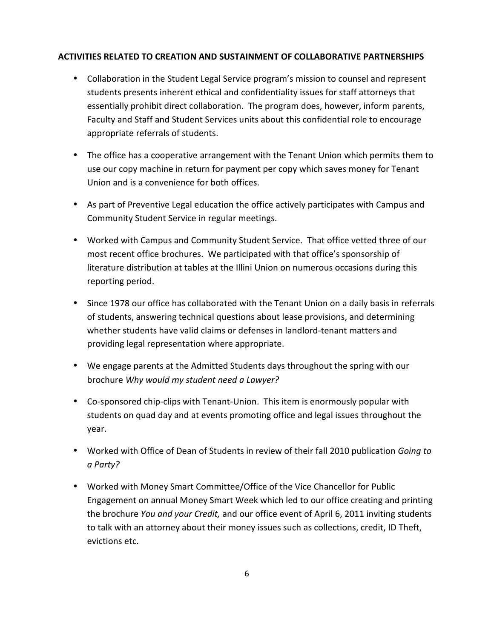#### **ACTIVITIES RELATED TO CREATION AND SUSTAINMENT OF COLLABORATIVE PARTNERSHIPS**

- Collaboration in the Student Legal Service program's mission to counsel and represent students presents inherent ethical and confidentiality issues for staff attorneys that essentially prohibit direct collaboration. The program does, however, inform parents, Faculty and Staff and Student Services units about this confidential role to encourage appropriate referrals of students.
- The office has a cooperative arrangement with the Tenant Union which permits them to use our copy machine in return for payment per copy which saves money for Tenant Union and is a convenience for both offices.
- As part of Preventive Legal education the office actively participates with Campus and Community Student Service in regular meetings.
- Worked with Campus and Community Student Service. That office vetted three of our most recent office brochures. We participated with that office's sponsorship of literature distribution at tables at the Illini Union on numerous occasions during this reporting period.
- Since 1978 our office has collaborated with the Tenant Union on a daily basis in referrals of students, answering technical questions about lease provisions, and determining whether students have valid claims or defenses in landlord-tenant matters and providing legal representation where appropriate.
- We engage parents at the Admitted Students days throughout the spring with our brochure *Why would my student need a Lawyer?*
- Co-sponsored chip-clips with Tenant-Union. This item is enormously popular with students on quad day and at events promoting office and legal issues throughout the year.
- Worked with Office of Dean of Students in review of their fall 2010 publication *Going to a Party?*
- Worked with Money Smart Committee/Office of the Vice Chancellor for Public Engagement on annual Money Smart Week which led to our office creating and printing the brochure *You and your Credit,* and our office event of April 6, 2011 inviting students to talk with an attorney about their money issues such as collections, credit, ID Theft, evictions etc.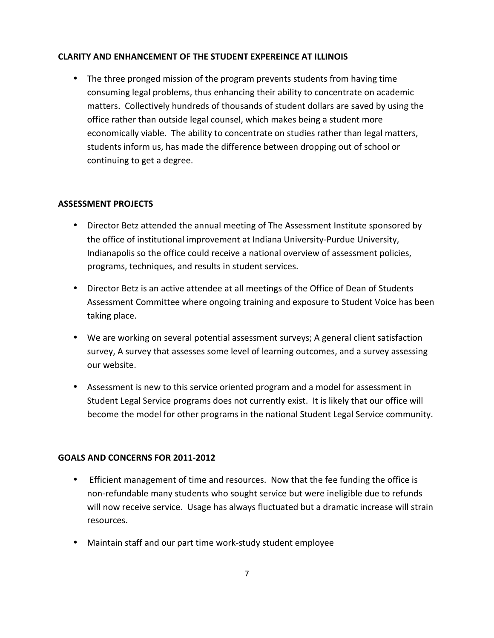#### **CLARITY AND ENHANCEMENT OF THE STUDENT EXPEREINCE AT ILLINOIS**

• The three pronged mission of the program prevents students from having time consuming legal problems, thus enhancing their ability to concentrate on academic matters. Collectively hundreds of thousands of student dollars are saved by using the office rather than outside legal counsel, which makes being a student more economically viable. The ability to concentrate on studies rather than legal matters, students inform us, has made the difference between dropping out of school or continuing to get a degree.

#### **ASSESSMENT PROJECTS**

- Director Betz attended the annual meeting of The Assessment Institute sponsored by the office of institutional improvement at Indiana University-Purdue University, Indianapolis so the office could receive a national overview of assessment policies, programs, techniques, and results in student services.
- Director Betz is an active attendee at all meetings of the Office of Dean of Students Assessment Committee where ongoing training and exposure to Student Voice has been taking place.
- We are working on several potential assessment surveys; A general client satisfaction survey, A survey that assesses some level of learning outcomes, and a survey assessing our website.
- Assessment is new to this service oriented program and a model for assessment in Student Legal Service programs does not currently exist. It is likely that our office will become the model for other programs in the national Student Legal Service community.

#### **GOALS AND CONCERNS FOR 2011-2012**

- Efficient management of time and resources. Now that the fee funding the office is non-refundable many students who sought service but were ineligible due to refunds will now receive service. Usage has always fluctuated but a dramatic increase will strain resources.
- Maintain staff and our part time work-study student employee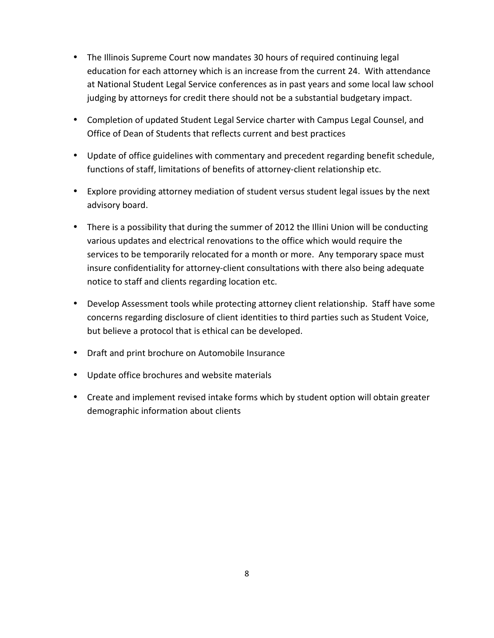- The Illinois Supreme Court now mandates 30 hours of required continuing legal education for each attorney which is an increase from the current 24. With attendance at National Student Legal Service conferences as in past years and some local law school judging by attorneys for credit there should not be a substantial budgetary impact.
- Completion of updated Student Legal Service charter with Campus Legal Counsel, and Office of Dean of Students that reflects current and best practices
- Update of office guidelines with commentary and precedent regarding benefit schedule, functions of staff, limitations of benefits of attorney-client relationship etc.
- Explore providing attorney mediation of student versus student legal issues by the next advisory board.
- There is a possibility that during the summer of 2012 the Illini Union will be conducting various updates and electrical renovations to the office which would require the services to be temporarily relocated for a month or more. Any temporary space must insure confidentiality for attorney-client consultations with there also being adequate notice to staff and clients regarding location etc.
- Develop Assessment tools while protecting attorney client relationship. Staff have some concerns regarding disclosure of client identities to third parties such as Student Voice, but believe a protocol that is ethical can be developed.
- Draft and print brochure on Automobile Insurance
- Update office brochures and website materials
- Create and implement revised intake forms which by student option will obtain greater demographic information about clients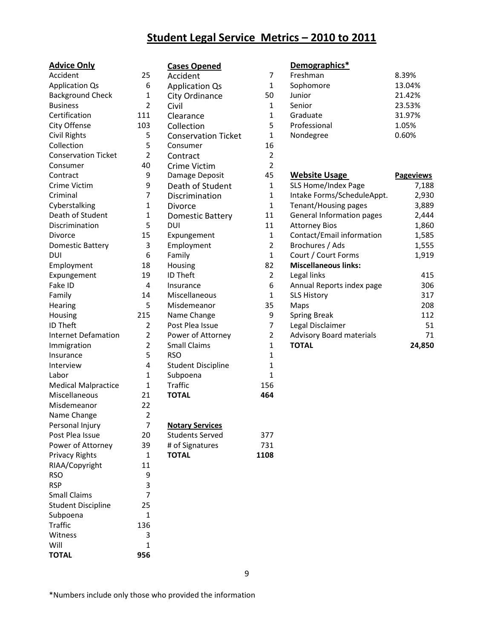### **Student Legal Service Metrics – 2010 to 2011**

| <b>Advice Only</b>         |                | <b>Cases Opened</b>        |                | Demographics*               |
|----------------------------|----------------|----------------------------|----------------|-----------------------------|
| Accident                   | 25             | Accident                   | 7              | Freshman                    |
| <b>Application Qs</b>      | 6              | <b>Application Qs</b>      | 1              | Sophomore                   |
| <b>Background Check</b>    | $\mathbf{1}$   | City Ordinance             | 50             | Junior                      |
| <b>Business</b>            | $\overline{2}$ | Civil                      | 1              | Senior                      |
| Certification              | 111            | Clearance                  | 1              | Graduate                    |
| City Offense               | 103            | Collection                 | 5              | Professional                |
| <b>Civil Rights</b>        | 5              | <b>Conservation Ticket</b> | $\mathbf{1}$   | Nondegree                   |
| Collection                 | 5              | Consumer                   | 16             |                             |
| <b>Conservation Ticket</b> | $\overline{2}$ | Contract                   | $\overline{2}$ |                             |
| Consumer                   | 40             | <b>Crime Victim</b>        | $\overline{2}$ |                             |
| Contract                   | 9              | Damage Deposit             | 45             | <b>Website Usage</b>        |
| Crime Victim               | 9              | Death of Student           | $\mathbf{1}$   | SLS Home/Index Pag          |
| Criminal                   | 7              | Discrimination             | 1              | Intake Forms/Schedu         |
| Cyberstalking              | $\mathbf{1}$   | Divorce                    | $\mathbf{1}$   | Tenant/Housing page         |
| Death of Student           | $\mathbf{1}$   | <b>Domestic Battery</b>    | 11             | <b>General Information</b>  |
| Discrimination             | 5              | DUI                        | 11             | <b>Attorney Bios</b>        |
| Divorce                    | 15             | Expungement                | $\mathbf{1}$   | Contact/Email inforn        |
| <b>Domestic Battery</b>    | 3              | Employment                 | $\overline{2}$ | Brochures / Ads             |
| <b>DUI</b>                 | 6              | Family                     | $\mathbf{1}$   | Court / Court Forms         |
| Employment                 | 18             | Housing                    | 82             | <b>Miscellaneous links:</b> |
| Expungement                | 19             | <b>ID Theft</b>            | $\overline{2}$ | Legal links                 |
| Fake ID                    | $\overline{4}$ | Insurance                  | 6              | Annual Reports inde:        |
| Family                     | 14             | Miscellaneous              | $\mathbf{1}$   | <b>SLS History</b>          |
| Hearing                    | 5              | Misdemeanor                | 35             | Maps                        |
| Housing                    | 215            | Name Change                | 9              | <b>Spring Break</b>         |
| <b>ID Theft</b>            | 2              | Post Plea Issue            | 7              | Legal Disclaimer            |
| <b>Internet Defamation</b> | $\overline{2}$ | Power of Attorney          | 2              | Advisory Board mate         |
| Immigration                | $\overline{2}$ | <b>Small Claims</b>        | $\mathbf 1$    | <b>TOTAL</b>                |
| Insurance                  | 5              | <b>RSO</b>                 | 1              |                             |
| Interview                  | 4              | <b>Student Discipline</b>  | $\mathbf 1$    |                             |
| Labor                      | $\mathbf{1}$   | Subpoena                   | $\mathbf 1$    |                             |
| <b>Medical Malpractice</b> | $\mathbf{1}$   | <b>Traffic</b>             | 156            |                             |
| Miscellaneous              | 21             | <b>TOTAL</b>               | 464            |                             |
| Misdemeanor                | 22             |                            |                |                             |
| Name Change                | $\overline{2}$ |                            |                |                             |
| Personal Injury            | 7              | <b>Notary Services</b>     |                |                             |
| Post Plea Issue            | 20             | <b>Students Served</b>     | 377            |                             |
| Power of Attorney          | 39             | # of Signatures            | 731            |                             |
| <b>Privacy Rights</b>      | $\mathbf{1}$   | <b>TOTAL</b>               | 1108           |                             |
| RIAA/Copyright             | 11             |                            |                |                             |
| <b>RSO</b>                 | 9              |                            |                |                             |
| <b>RSP</b>                 | 3              |                            |                |                             |
| <b>Small Claims</b>        | 7              |                            |                |                             |
| <b>Student Discipline</b>  | 25             |                            |                |                             |
| Subpoena                   | $\mathbf{1}$   |                            |                |                             |
| <b>Traffic</b>             | 136            |                            |                |                             |
| Witness                    | 3              |                            |                |                             |
| Will                       | $\mathbf{1}$   |                            |                |                             |
| <b>TOTAL</b>               | 956            |                            |                |                             |

| <b>Cases Opened</b>        |  |
|----------------------------|--|
| Accident                   |  |
| <b>Application Qs</b>      |  |
| City Ordinance             |  |
| Civil                      |  |
| Clearance                  |  |
| Collection                 |  |
| <b>Conservation Ticket</b> |  |
| Consumer                   |  |
| Contract                   |  |
| Crime Victim               |  |
| Damage Deposit             |  |
| Death of Student           |  |
| Discrimination             |  |
| Divorce                    |  |
| <b>Domestic Battery</b>    |  |
| DUI                        |  |
| Expungement                |  |
| Employment                 |  |
| Family                     |  |
| Housing                    |  |
| <b>ID Theft</b>            |  |
| Insurance                  |  |
| Miscellaneous              |  |
| Misdemeanor                |  |
| Name Change                |  |
| Post Plea Issue            |  |
| Power of Attorney          |  |
| <b>Small Claims</b>        |  |
| <b>RSO</b>                 |  |
| <b>Student Discipline</b>  |  |
| Subpoena                   |  |
| Traffic                    |  |
| <b>TOTAL</b>               |  |
|                            |  |
|                            |  |
| <b>Notary Services</b>     |  |
| <b>Students Served</b>     |  |
| # of Signatures            |  |
| <b>TOTAL</b>               |  |
|                            |  |
|                            |  |
|                            |  |
|                            |  |
|                            |  |
|                            |  |

| <b>Advice Only</b>         |                | <b>Cases Opened</b>        |                | Demographics*                    |                  |
|----------------------------|----------------|----------------------------|----------------|----------------------------------|------------------|
| Accident                   | 25             | Accident                   | 7              | Freshman                         | 8.39%            |
| <b>Application Qs</b>      | 6              | <b>Application Qs</b>      | 1              | Sophomore                        | 13.04%           |
| <b>Background Check</b>    | 1              | City Ordinance             | 50             | Junior                           | 21.42%           |
| <b>Business</b>            | 2              | Civil                      | 1              | Senior                           | 23.53%           |
| Certification              | 111            | Clearance                  | 1              | Graduate                         | 31.97%           |
| City Offense               | 103            | Collection                 | 5              | Professional                     | 1.05%            |
| Civil Rights               | 5              | <b>Conservation Ticket</b> | 1              | Nondegree                        | 0.60%            |
| Collection                 | 5              | Consumer                   | 16             |                                  |                  |
| <b>Conservation Ticket</b> | 2              | Contract                   | 2              |                                  |                  |
| Consumer                   | 40             | <b>Crime Victim</b>        | 2              |                                  |                  |
| Contract                   | 9              | Damage Deposit             | 45             | <b>Website Usage</b>             | <b>Pageviews</b> |
| Crime Victim               | 9              | Death of Student           | $\mathbf{1}$   | SLS Home/Index Page              | 7,188            |
| Criminal                   | 7              | Discrimination             | 1              | Intake Forms/ScheduleAppt.       | 2,930            |
| Cyberstalking              | 1              | <b>Divorce</b>             | 1              | Tenant/Housing pages             | 3,889            |
| Death of Student           | 1              | <b>Domestic Battery</b>    | 11             | <b>General Information pages</b> | 2,444            |
| Discrimination             | 5              | DUI                        | 11             | <b>Attorney Bios</b>             | 1,860            |
| Divorce                    | 15             | Expungement                | $\mathbf{1}$   | Contact/Email information        | 1,585            |
| Domestic Battery           | 3              | Employment                 | 2              | Brochures / Ads                  | 1,555            |
| DUI                        | 6              | Family                     | 1              | Court / Court Forms              | 1,919            |
| Employment                 | 18             | Housing                    | 82             | <b>Miscellaneous links:</b>      |                  |
| Expungement                | 19             | ID Theft                   | $\overline{2}$ | Legal links                      | 415              |
| Fake ID                    | 4              | Insurance                  | 6              | Annual Reports index page        | 306              |
| Family                     | 14             | Miscellaneous              | 1              | <b>SLS History</b>               | 317              |
| Hearing                    | 5              | Misdemeanor                | 35             | Maps                             | 208              |
| Housing                    | 215            | Name Change                | 9              | <b>Spring Break</b>              | 112              |
| <b>ID Theft</b>            | $\overline{2}$ | Post Plea Issue            | 7              | Legal Disclaimer                 | 51               |
| <b>Internet Defamation</b> | $\overline{2}$ | Power of Attorney          | 2              | <b>Advisory Board materials</b>  | 71               |
| Immigration                | 2              | <b>Small Claims</b>        | 1              | <b>TOTAL</b>                     | 24,850           |
| Insurance                  | 5              | <b>RSO</b>                 | 1              |                                  |                  |
| Interview                  | 4              | <b>Student Discipline</b>  | 1              |                                  |                  |
| Labor                      | 1              | Subpoena                   | 1              |                                  |                  |

\*Numbers include only those who provided the information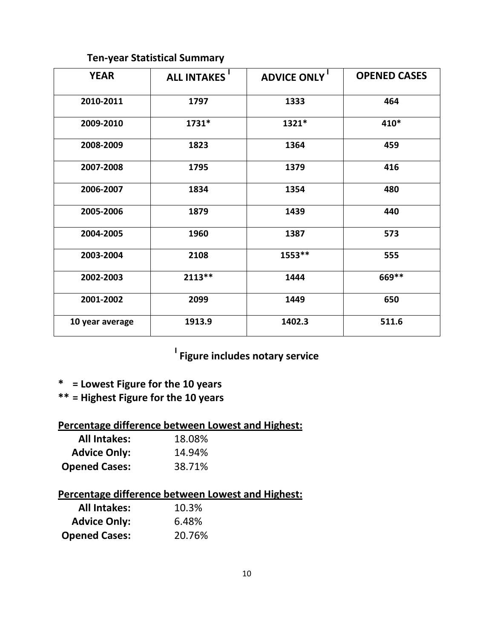### **Ten-year Statistical Summary**

| <b>YEAR</b>     | <b>ALL INTAKES'</b> | <b>ADVICE ONLY</b> | <b>OPENED CASES</b> |
|-----------------|---------------------|--------------------|---------------------|
| 2010-2011       | 1797                | 1333               | 464                 |
| 2009-2010       | 1731*               | 1321*              | 410*                |
| 2008-2009       | 1823                | 1364               | 459                 |
| 2007-2008       | 1795                | 1379               | 416                 |
| 2006-2007       | 1834                | 1354               | 480                 |
| 2005-2006       | 1879                | 1439               | 440                 |
| 2004-2005       | 1960                | 1387               | 573                 |
| 2003-2004       | 2108                | 1553**             | 555                 |
| 2002-2003       | $2113**$            | 1444               | 669 **              |
| 2001-2002       | 2099                | 1449               | 650                 |
| 10 year average | 1913.9              | 1402.3             | 511.6               |

### **I Figure includes notary service**

- **\* = Lowest Figure for the 10 years**
- **\*\* = Highest Figure for the 10 years**

### **Percentage difference between Lowest and Highest:**

| <b>All Intakes:</b>  | 18.08% |
|----------------------|--------|
| <b>Advice Only:</b>  | 14.94% |
| <b>Opened Cases:</b> | 38.71% |

### **Percentage difference between Lowest and Highest:**

| <b>All Intakes:</b>  | 10.3%  |
|----------------------|--------|
| <b>Advice Only:</b>  | 6.48%  |
| <b>Opened Cases:</b> | 20.76% |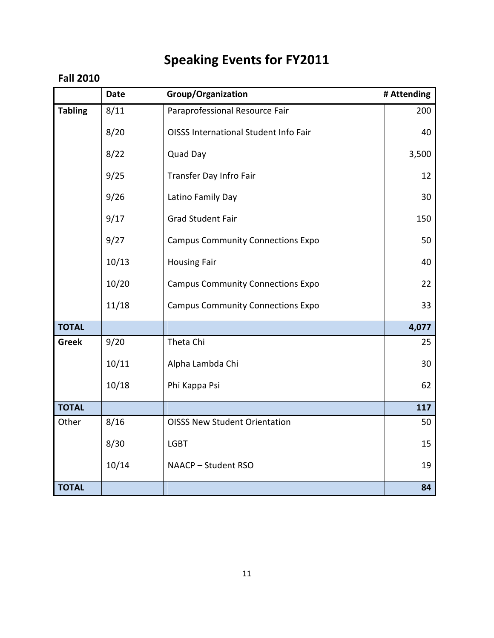# **Speaking Events for FY2011**

### **Fall 2010**

|                | <b>Date</b> | Group/Organization                           | # Attending |
|----------------|-------------|----------------------------------------------|-------------|
| <b>Tabling</b> | 8/11        | Paraprofessional Resource Fair               | 200         |
|                | 8/20        | <b>OISSS International Student Info Fair</b> | 40          |
|                | 8/22        | Quad Day                                     | 3,500       |
|                | 9/25        | Transfer Day Infro Fair                      | 12          |
|                | 9/26        | Latino Family Day                            | 30          |
|                | 9/17        | <b>Grad Student Fair</b>                     | 150         |
|                | 9/27        | <b>Campus Community Connections Expo</b>     | 50          |
|                | 10/13       | <b>Housing Fair</b>                          | 40          |
|                | 10/20       | <b>Campus Community Connections Expo</b>     | 22          |
|                | 11/18       | <b>Campus Community Connections Expo</b>     | 33          |
| <b>TOTAL</b>   |             |                                              | 4,077       |
| <b>Greek</b>   | 9/20        | Theta Chi                                    | 25          |
|                | 10/11       | Alpha Lambda Chi                             | 30          |
|                | 10/18       | Phi Kappa Psi                                | 62          |
| <b>TOTAL</b>   |             |                                              | 117         |
| Other          | 8/16        | <b>OISSS New Student Orientation</b>         | 50          |
|                | 8/30        | <b>LGBT</b>                                  | 15          |
|                | 10/14       | NAACP - Student RSO                          | 19          |
| <b>TOTAL</b>   |             |                                              | 84          |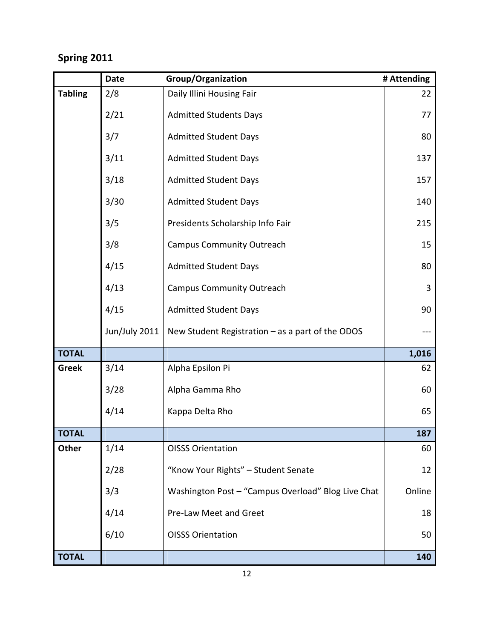### **Spring 2011**

|                | <b>Date</b>   | Group/Organization                                 | # Attending |
|----------------|---------------|----------------------------------------------------|-------------|
| <b>Tabling</b> | 2/8           | Daily Illini Housing Fair                          | 22          |
|                | 2/21          | <b>Admitted Students Days</b>                      | 77          |
|                | 3/7           | <b>Admitted Student Days</b>                       | 80          |
|                | 3/11          | <b>Admitted Student Days</b>                       | 137         |
|                | 3/18          | <b>Admitted Student Days</b>                       | 157         |
|                | 3/30          | <b>Admitted Student Days</b>                       | 140         |
|                | 3/5           | Presidents Scholarship Info Fair                   | 215         |
|                | 3/8           | <b>Campus Community Outreach</b>                   | 15          |
|                | 4/15          | <b>Admitted Student Days</b>                       | 80          |
|                | 4/13          | <b>Campus Community Outreach</b>                   | 3           |
|                | 4/15          | <b>Admitted Student Days</b>                       | 90          |
|                | Jun/July 2011 | New Student Registration $-$ as a part of the ODOS |             |
| <b>TOTAL</b>   |               |                                                    | 1,016       |
| <b>Greek</b>   | 3/14          | Alpha Epsilon Pi                                   | 62          |
|                | 3/28          | Alpha Gamma Rho                                    | 60          |
|                | 4/14          | Kappa Delta Rho                                    | 65          |
| <b>TOTAL</b>   |               |                                                    | 187         |
| Other          | 1/14          | <b>OISSS Orientation</b>                           | 60          |
|                | 2/28          | "Know Your Rights" - Student Senate                | 12          |
|                | 3/3           | Washington Post - "Campus Overload" Blog Live Chat | Online      |
|                | 4/14          | Pre-Law Meet and Greet                             | 18          |
|                | 6/10          | <b>OISSS Orientation</b>                           | 50          |
| <b>TOTAL</b>   |               |                                                    | 140         |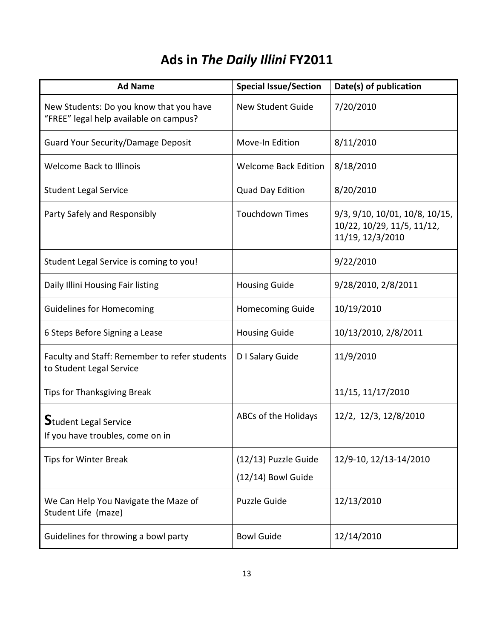# **Ads in** *The Daily Illini* **FY2011**

| <b>Ad Name</b>                                                                    | <b>Special Issue/Section</b>                 | Date(s) of publication                                                           |
|-----------------------------------------------------------------------------------|----------------------------------------------|----------------------------------------------------------------------------------|
| New Students: Do you know that you have<br>"FREE" legal help available on campus? | <b>New Student Guide</b>                     | 7/20/2010                                                                        |
| <b>Guard Your Security/Damage Deposit</b>                                         | Move-In Edition                              | 8/11/2010                                                                        |
| <b>Welcome Back to Illinois</b>                                                   | <b>Welcome Back Edition</b>                  | 8/18/2010                                                                        |
| <b>Student Legal Service</b>                                                      | Quad Day Edition                             | 8/20/2010                                                                        |
| Party Safely and Responsibly                                                      | <b>Touchdown Times</b>                       | 9/3, 9/10, 10/01, 10/8, 10/15,<br>10/22, 10/29, 11/5, 11/12,<br>11/19, 12/3/2010 |
| Student Legal Service is coming to you!                                           |                                              | 9/22/2010                                                                        |
| Daily Illini Housing Fair listing                                                 | <b>Housing Guide</b>                         | 9/28/2010, 2/8/2011                                                              |
| <b>Guidelines for Homecoming</b>                                                  | <b>Homecoming Guide</b>                      | 10/19/2010                                                                       |
| 6 Steps Before Signing a Lease                                                    | <b>Housing Guide</b>                         | 10/13/2010, 2/8/2011                                                             |
| Faculty and Staff: Remember to refer students<br>to Student Legal Service         | D I Salary Guide                             | 11/9/2010                                                                        |
| <b>Tips for Thanksgiving Break</b>                                                |                                              | 11/15, 11/17/2010                                                                |
| $S$ tudent Legal Service<br>If you have troubles, come on in                      | ABCs of the Holidays                         | 12/2, 12/3, 12/8/2010                                                            |
| <b>Tips for Winter Break</b>                                                      | (12/13) Puzzle Guide<br>$(12/14)$ Bowl Guide | 12/9-10, 12/13-14/2010                                                           |
| We Can Help You Navigate the Maze of<br>Student Life (maze)                       | <b>Puzzle Guide</b>                          | 12/13/2010                                                                       |
| Guidelines for throwing a bowl party                                              | <b>Bowl Guide</b>                            | 12/14/2010                                                                       |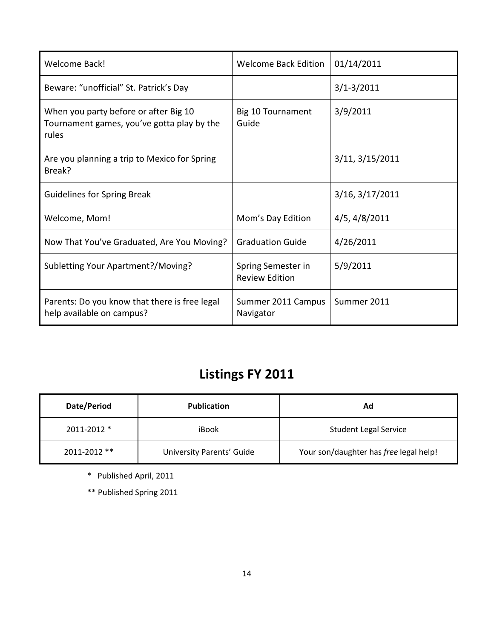| <b>Welcome Back!</b>                                                                         | <b>Welcome Back Edition</b>                 | 01/14/2011      |
|----------------------------------------------------------------------------------------------|---------------------------------------------|-----------------|
| Beware: "unofficial" St. Patrick's Day                                                       |                                             | $3/1 - 3/2011$  |
| When you party before or after Big 10<br>Tournament games, you've gotta play by the<br>rules | Big 10 Tournament<br>Guide                  | 3/9/2011        |
| Are you planning a trip to Mexico for Spring<br>Break?                                       |                                             | 3/11, 3/15/2011 |
| <b>Guidelines for Spring Break</b>                                                           |                                             | 3/16, 3/17/2011 |
| Welcome, Mom!                                                                                | Mom's Day Edition                           | 4/5, 4/8/2011   |
| Now That You've Graduated, Are You Moving?                                                   | <b>Graduation Guide</b>                     | 4/26/2011       |
| Subletting Your Apartment?/Moving?                                                           | Spring Semester in<br><b>Review Edition</b> | 5/9/2011        |
| Parents: Do you know that there is free legal<br>help available on campus?                   | Summer 2011 Campus<br>Navigator             | Summer 2011     |

# **Listings FY 2011**

| Date/Period  | <b>Publication</b>               | Ad                                     |
|--------------|----------------------------------|----------------------------------------|
| 2011-2012 *  | iBook                            | <b>Student Legal Service</b>           |
| 2011-2012 ** | <b>University Parents' Guide</b> | Your son/daughter has free legal help! |

\* Published April, 2011

\*\* Published Spring 2011